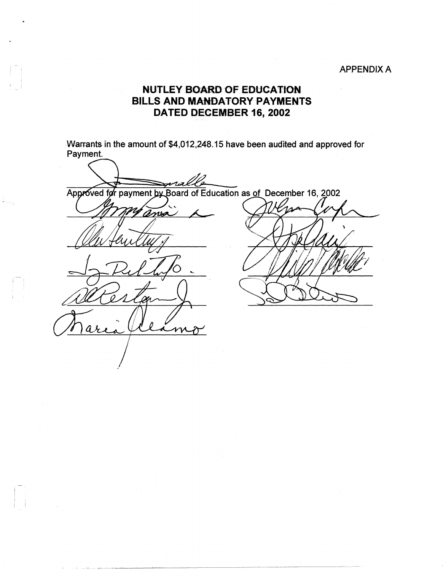## APPENDIX A

## **NUTLEY BOARD OF EDUCATION BILLS AND MANDATORY PAYMENTS DATED DECEMBER 16, 2002**

Warrants in the amount of \$4,012,248.15 have been audited and approved for Payment.

Approved for payment by Board of Education as of December 16, 2002 ma  ${\cal W}$ 

 $-1$  , there exists a limit of expectation of the second terms of  $\mathcal{A}$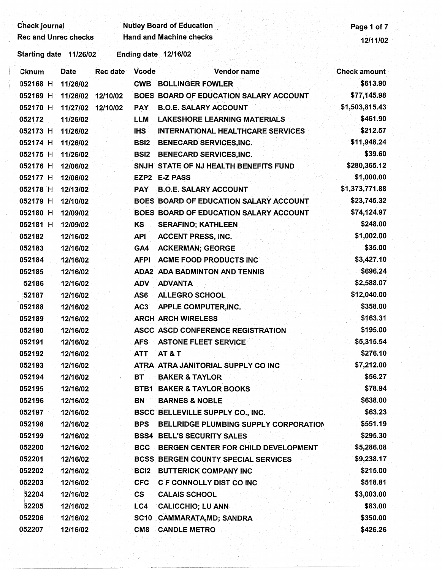Check journal Nutley Board of Education **Nutley Board of Education** Page 1 of 7 Rec and Unrec checks Hand and Machine checks 12/11/02

Starting date 11/26/02 Ending date 12/16/02

| Cknum    | <b>Date</b> | <b>Rec date</b> | <b>Vcode</b>     | <b>Vendor name</b>                             | <b>Check amount</b> |
|----------|-------------|-----------------|------------------|------------------------------------------------|---------------------|
| 052168 H | 11/26/02    |                 |                  | <b>CWB BOLLINGER FOWLER</b>                    | \$613.90            |
| 052169 H | 11/26/02    | 12/10/02        |                  | BOES BOARD OF EDUCATION SALARY ACCOUNT         | \$77,145.98         |
| 052170 H | 11/27/02    | 12/10/02        | <b>PAY</b>       | <b>B.O.E. SALARY ACCOUNT</b>                   | \$1,503,815.43      |
| 052172   | 11/26/02    |                 | <b>LLM</b>       | <b>LAKESHORE LEARNING MATERIALS</b>            | \$461.90            |
| 052173 H | 11/26/02    |                 | <b>IHS</b>       | <b>INTERNATIONAL HEALTHCARE SERVICES</b>       | \$212.57            |
| 052174 H | 11/26/02    |                 | <b>BSI2</b>      | <b>BENECARD SERVICES, INC.</b>                 | \$11,948.24         |
| 052175 H | 11/26/02    |                 | <b>BSI2</b>      | <b>BENECARD SERVICES, INC.</b>                 | \$39.60             |
| 052176 H | 12/06/02    |                 |                  | SNJH STATE OF NJ HEALTH BENEFITS FUND          | \$280,365.12        |
| 052177 H | 12/06/02    |                 |                  | EZP2 E-Z PASS                                  | \$1,000.00          |
| 052178 H | 12/13/02    |                 | <b>PAY</b>       | <b>B.O.E. SALARY ACCOUNT</b>                   | \$1,373,771.88      |
| 052179 H | 12/10/02    |                 |                  | BOES BOARD OF EDUCATION SALARY ACCOUNT         | \$23,745.32         |
| 052180 H | 12/09/02    |                 |                  | <b>BOES BOARD OF EDUCATION SALARY ACCOUNT</b>  | \$74,124.97         |
| 052181 H | 12/09/02    |                 | KS.              | <b>SERAFINO; KATHLEEN</b>                      | \$248.00            |
| 052182   | 12/16/02    |                 | <b>API</b>       | <b>ACCENT PRESS, INC.</b>                      | \$1,002.00          |
| 052183   | 12/16/02    |                 | GA4              | <b>ACKERMAN; GEORGE</b>                        | \$35.00             |
| 052184   | 12/16/02    |                 | <b>AFPI</b>      | <b>ACME FOOD PRODUCTS INC</b>                  | \$3,427.10          |
| 052185   | 12/16/02    |                 |                  | <b>ADA2 ADA BADMINTON AND TENNIS</b>           | \$696.24            |
| 52186    | 12/16/02    |                 | <b>ADV</b>       | <b>ADVANTA</b>                                 | \$2,588.07          |
| 52187    | 12/16/02    |                 | AS6              | <b>ALLEGRO SCHOOL</b>                          | \$12,040.00         |
| 052188   | 12/16/02    |                 | AC <sub>3</sub>  | APPLE COMPUTER, INC.                           | \$358.00            |
| 052189   | 12/16/02    |                 |                  | <b>ARCH ARCH WIRELESS</b>                      | \$163.31            |
| 052190   | 12/16/02    |                 |                  | ASCC ASCD CONFERENCE REGISTRATION              | \$195.00            |
| 052191   | 12/16/02    |                 | <b>AFS</b>       | <b>ASTONE FLEET SERVICE</b>                    | \$5,315.54          |
| 052192   | 12/16/02    |                 | <b>ATT</b>       | <b>AT &amp; T</b>                              | \$276.10            |
| 052193   | 12/16/02    |                 |                  | ATRA ATRA JANITORIAL SUPPLY CO INC             | \$7,212.00          |
| 052194   | 12/16/02    |                 | <b>BT</b>        | <b>BAKER &amp; TAYLOR</b>                      | \$56.27             |
| 052195   | 12/16/02    |                 |                  | <b>BTB1 BAKER &amp; TAYLOR BOOKS</b>           | \$78.94             |
| 052196   | 12/16/02    |                 | BN               | <b>BARNES &amp; NOBLE</b>                      | \$638.00            |
| 052197   | 12/16/02    |                 |                  | <b>BSCC BELLEVILLE SUPPLY CO., INC.</b>        | \$63.23             |
| 052198   | 12/16/02    |                 | <b>BPS</b>       | BELLRIDGE PLUMBING SUPPLY CORPORATION          | \$551.19            |
| 052199   | 12/16/02    |                 |                  | <b>BSS4 BELL'S SECURITY SALES</b>              | \$295.30            |
| 052200   | 12/16/02    |                 |                  | <b>BCC BERGEN CENTER FOR CHILD DEVELOPMENT</b> | \$5,286.08          |
| 052201   | 12/16/02    |                 |                  | BCSS BERGEN COUNTY SPECIAL SERVICES            | \$9,238.17          |
| 052202   | 12/16/02    |                 | BC <sub>12</sub> | <b>BUTTERICK COMPANY INC</b>                   | \$215.00            |
| 052203   | 12/16/02    |                 | <b>CFC</b>       | <b>C F CONNOLLY DIST CO INC</b>                | \$518.81            |
| 52204    | 12/16/02    |                 | CS               | <b>CALAIS SCHOOL</b>                           | \$3,003.00          |
| 52205    | 12/16/02    |                 |                  | LC4 CALICCHIO; LU ANN                          | \$83.00             |
| 052206   | 12/16/02    |                 |                  | SC10 CAMMARATA, MD; SANDRA                     | \$350.00            |
| 052207   | 12/16/02    |                 | CM <sub>8</sub>  | <b>CANDLE METRO</b>                            | \$426.26            |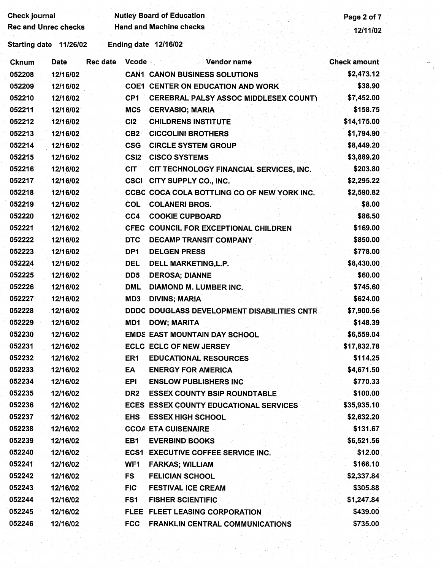| <b>Check journal</b>        |                          | <b>Nutley Board of Education</b>             | Page 2 of 7         |
|-----------------------------|--------------------------|----------------------------------------------|---------------------|
| <b>Rec and Unrec checks</b> |                          | <b>Hand and Machine checks</b>               | 12/11/02            |
| Starting date 11/26/02      | Ending date 12/16/02     |                                              |                     |
| <b>Date</b><br><b>Cknum</b> | <b>Rec date</b><br>Vcode | Vendor name                                  | <b>Check amount</b> |
| 052208<br>12/16/02          |                          | <b>CAN1 CANON BUSINESS SOLUTIONS</b>         | \$2,473.12          |
| 052209<br>12/16/02          |                          | <b>COE1 CENTER ON EDUCATION AND WORK</b>     | \$38.90             |
| 052210<br>12/16/02          | CP1                      | <b>CEREBRAL PALSY ASSOC MIDDLESEX COUNTY</b> | \$7,452.00          |
| 052211<br>12/16/02          | MC5                      | <b>CERVASIO; MARIA</b>                       | \$158.75            |
| 052212<br>12/16/02          | CI2                      | <b>CHILDRENS INSTITUTE</b>                   | \$14,175.00         |
| 052213<br>12/16/02          | CB <sub>2</sub>          | <b>CICCOLINI BROTHERS</b>                    | \$1,794.90          |
| 052214<br>12/16/02          | <b>CSG</b>               | <b>CIRCLE SYSTEM GROUP</b>                   | \$8,449.20          |
| 052215<br>12/16/02          | CSI <sub>2</sub>         | <b>CISCO SYSTEMS</b>                         | \$3,889.20          |
| 052216<br>12/16/02          | <b>CIT</b>               | CIT TECHNOLOGY FINANCIAL SERVICES, INC.      | \$203.80            |
| 052217<br>12/16/02          |                          | <b>CSCI CITY SUPPLY CO., INC.</b>            | \$2,295.22          |
| 052218<br>12/16/02          |                          | CCBC COCA COLA BOTTLING CO OF NEW YORK INC.  | \$2,590.82          |
| 052219<br>12/16/02          | <b>COL</b>               | <b>COLANERI BROS.</b>                        | \$8.00              |
| 052220<br>12/16/02          | CC4                      | <b>COOKIE CUPBOARD</b>                       | \$86.50             |
| 052221<br>12/16/02          |                          | CFEC COUNCIL FOR EXCEPTIONAL CHILDREN        | \$169.00            |
| 052222<br>12/16/02          | <b>DTC</b>               | DECAMP TRANSIT COMPANY                       | \$850.00            |
| 052223<br>12/16/02          | DP1                      | <b>DELGEN PRESS</b>                          | \$778.00            |
| 052224<br>12/16/02          | DEL                      | DELL MARKETING, L.P.                         | \$8,430.00          |
| 052225<br>12/16/02          | DD <sub>5</sub>          | <b>DEROSA; DIANNE</b>                        | \$60.00             |
| 052226<br>12/16/02          | <b>DML</b>               | DIAMOND M. LUMBER INC.                       | \$745.60            |
| 052227<br>12/16/02          | MD3                      | <b>DIVINS; MARIA</b>                         | \$624.00            |
| 052228<br>12/16/02          |                          | DDDC DOUGLASS DEVELOPMENT DISABILITIES CNTR  | \$7,900.56          |
| 052229<br>12/16/02          | MD1                      | <b>DOW; MARITA</b>                           | \$148.39            |
| 052230<br>12/16/02          |                          | <b>EMDS EAST MOUNTAIN DAY SCHOOL</b>         | \$6,559.04          |
| 052231<br>12/16/02          |                          | <b>ECLC ECLC OF NEW JERSEY</b>               | \$17,832.78         |
| 052232<br>12/16/02          | ER1                      | <b>EDUCATIONAL RESOURCES</b>                 | \$114.25            |
| 052233<br>12/16/02          | EA                       | <b>ENERGY FOR AMERICA</b>                    | \$4,671.50          |
| 052234<br>12/16/02          | EPI                      | <b>ENSLOW PUBLISHERS INC.</b>                | \$770.33            |
| 052235<br>12/16/02          | DR <sub>2</sub>          | <b>ESSEX COUNTY BSIP ROUNDTABLE</b>          | \$100.00            |
| 052236<br>12/16/02          |                          | ECES ESSEX COUNTY EDUCATIONAL SERVICES       | \$35,935.10         |
| 052237<br>12/16/02          | <b>EHS</b>               | <b>ESSEX HIGH SCHOOL</b>                     | \$2,632.20          |
| 052238<br>12/16/02          |                          | <b>CCOA ETA CUISENAIRE</b>                   | \$131.67            |
| 052239<br>12/16/02          | EB <sub>1</sub>          | <b>EVERBIND BOOKS</b>                        | \$6,521.56          |
| 052240<br>12/16/02          |                          | <b>ECS1 EXECUTIVE COFFEE SERVICE INC.</b>    | \$12.00             |
| 052241<br>12/16/02          | WF1                      | <b>FARKAS; WILLIAM</b>                       | \$166.10            |
| 052242<br>12/16/02          | FS                       | <b>FELICIAN SCHOOL</b>                       | \$2,337.84          |
| 052243<br>12/16/02          | <b>FIC</b>               | <b>FESTIVAL ICE CREAM</b>                    | \$305.88            |
| 052244<br>12/16/02          | FS1                      | <b>FISHER SCIENTIFIC</b>                     | \$1,247.84          |
| 052245<br>12/16/02          |                          | FLEE FLEET LEASING CORPORATION               | \$439.00            |
| 052246<br>12/16/02          | <b>FCC</b>               | <b>FRANKLIN CENTRAL COMMUNICATIONS</b>       | \$735.00            |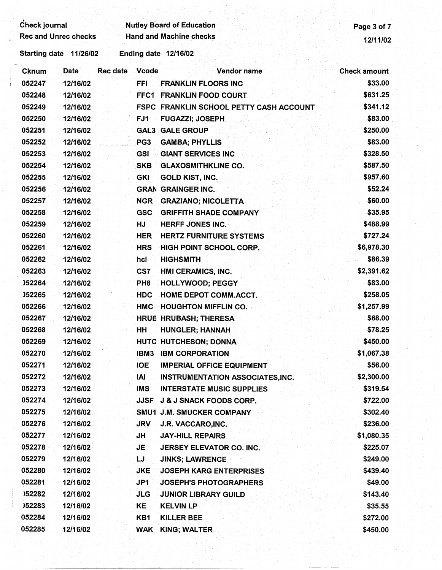| <b>Check journal</b>        |                        |                                 | <b>Nutley Board of Education</b>        |                     |  |  |  |
|-----------------------------|------------------------|---------------------------------|-----------------------------------------|---------------------|--|--|--|
| <b>Rec and Unrec checks</b> |                        |                                 | <b>Hand and Machine checks</b>          |                     |  |  |  |
|                             | Starting date 11/26/02 |                                 | Ending date 12/16/02                    |                     |  |  |  |
| <b>Cknum</b>                | <b>Date</b>            | <b>Rec date</b><br><b>Vcode</b> | <b>Vendor name</b>                      | <b>Check amount</b> |  |  |  |
| 052247                      | 12/16/02               | <b>FFI</b>                      | <b>FRANKLIN FLOORS INC</b>              | \$33.00             |  |  |  |
| 052248                      | 12/16/02               |                                 | FFC1 FRANKLIN FOOD COURT                | \$631.25            |  |  |  |
| 052249                      | 12/16/02               |                                 | FSPC FRANKLIN SCHOOL PETTY CASH ACCOUNT | \$341.12            |  |  |  |
| 052250                      | 12/16/02               | FJ1                             | <b>FUGAZZI; JOSEPH</b>                  | \$83.00             |  |  |  |
| 052251                      | 12/16/02               |                                 | <b>GAL3 GALE GROUP</b>                  | \$250.00            |  |  |  |
| 052252                      | 12/16/02               | PG3                             | <b>GAMBA; PHYLLIS</b>                   | \$83.00             |  |  |  |
| 052253                      | 12/16/02               | GSI                             | <b>GIANT SERVICES INC</b>               | \$328.50            |  |  |  |
| 052254                      | 12/16/02               | <b>SKB</b>                      | <b>GLAXOSMITHKLINE CO.</b>              | \$587.50            |  |  |  |
| 052255                      | 12/16/02               | <b>GKI</b>                      | <b>GOLD KIST, INC.</b>                  | \$957.60            |  |  |  |
| 052256                      | 12/16/02               |                                 | <b>GRAN GRAINGER INC.</b>               | \$52.24             |  |  |  |
| 052257                      | 12/16/02               | <b>NGR</b>                      | <b>GRAZIANO; NICOLETTA</b>              | \$60.00             |  |  |  |
| 052258                      | 12/16/02               | <b>GSC</b>                      | <b>GRIFFITH SHADE COMPANY</b>           | \$35.95             |  |  |  |
| 052259                      | 12/16/02               | HJ                              | <b>HERFF JONES INC.</b>                 | \$488.99            |  |  |  |
| 052260                      | 12/16/02               | <b>HER</b>                      | <b>HERTZ FURNITURE SYSTEMS</b>          | \$727.24            |  |  |  |
| 052261                      | 12/16/02               | <b>HRS</b>                      | <b>HIGH POINT SCHOOL CORP.</b>          | \$6,978.30          |  |  |  |
| 052262                      | 12/16/02               | hci                             | <b>HIGHSMITH</b>                        | \$86.39             |  |  |  |
| 052263                      | 12/16/02               | CS7                             | HMI CERAMICS, INC.                      | \$2,391.62          |  |  |  |
| <b>J52264</b>               | 12/16/02               | PH <sub>8</sub>                 | <b>HOLLYWOOD; PEGGY</b>                 | \$83.00             |  |  |  |
| 052265                      | 12/16/02               | <b>HDC</b>                      | <b>HOME DEPOT COMM.ACCT.</b>            | \$258.05            |  |  |  |
| 052266                      | 12/16/02               | <b>HMC</b>                      | <b>HOUGHTON MIFFLIN CO.</b>             | \$1,257.99          |  |  |  |
| 052267                      | 12/16/02               |                                 | <b>HRUB HRUBASH, THERESA</b>            | \$68.00             |  |  |  |
| 052268                      | 12/16/02               | нн                              | <b>HUNGLER; HANNAH</b>                  | \$78.25             |  |  |  |
| 052269                      | 12/16/02               |                                 | HUTC HUTCHESON; DONNA                   | \$450.00            |  |  |  |
| 052270                      | 12/16/02               | IBM <sub>3</sub>                | <b>IBM CORPORATION</b>                  | \$1,067.38          |  |  |  |
| 052271                      | 12/16/02               | <b>IOE</b>                      | <b>IMPERIAL OFFICE EQUIPMENT</b>        | \$56.00             |  |  |  |
| 052272                      | 12/16/02               | IAI                             | <b>INSTRUMENTATION ASSOCIATES, INC.</b> | \$2,300.00          |  |  |  |
| 052273                      | 12/16/02               | <b>IMS</b>                      | <b>INTERSTATE MUSIC SUPPLIES</b>        | \$319.54            |  |  |  |
| 052274                      | 12/16/02               | JJSF                            | <b>J &amp; J SNACK FOODS CORP.</b>      | \$722.00            |  |  |  |
| 052275                      | 12/16/02               |                                 | SMU1 J.M. SMUCKER COMPANY               | \$302.40            |  |  |  |
| 052276                      | 12/16/02               | <b>JRV</b>                      | J.R. VACCARO, INC.                      | \$236.00            |  |  |  |
| 052277                      | 12/16/02               | JH                              | <b>JAY-HILL REPAIRS</b>                 | \$1,080.35          |  |  |  |
| 052278                      | 12/16/02               | JE                              | JERSEY ELEVATOR CO. INC.                | \$225.07            |  |  |  |
| 052279                      | 12/16/02               | LJ                              | <b>JINKS; LAWRENCE</b>                  | \$249.00            |  |  |  |
| 052280                      | 12/16/02               | <b>JKE</b>                      | <b>JOSEPH KARG ENTERPRISES</b>          | \$439.40            |  |  |  |
| 052281                      | 12/16/02               | JP1                             | <b>JOSEPH'S PHOTOGRAPHERS</b>           | \$49.00             |  |  |  |
| )52282                      | 12/16/02               | <b>JLG</b>                      | <b>JUNIOR LIBRARY GUILD</b>             | \$143.40            |  |  |  |
| 152283                      | 12/16/02               | KE                              | <b>KELVIN LP</b>                        | \$35.55             |  |  |  |
| 052284                      | 12/16/02               | KB1                             | KILLER BEE                              | \$272.00            |  |  |  |
| 052285                      | 12/16/02               | <b>WAK</b>                      | KING; WALTER                            | \$450.00            |  |  |  |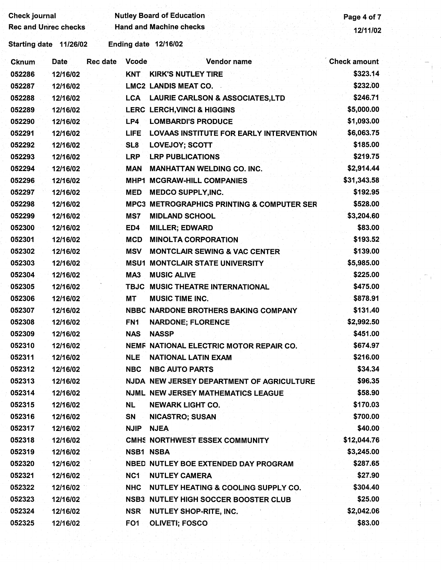| <b>Check journal</b>        |          |          |                 | <b>Nutley Board of Education</b>                      | Page 4 of 7         |  |
|-----------------------------|----------|----------|-----------------|-------------------------------------------------------|---------------------|--|
| <b>Rec and Unrec checks</b> |          |          |                 | <b>Hand and Machine checks</b>                        | 12/11/02            |  |
| <b>Starting date</b>        | 11/26/02 |          |                 | <b>Ending date 12/16/02</b>                           |                     |  |
| <b>Cknum</b>                | Date     | Rec date | <b>Vcode</b>    | Vendor name                                           | <b>Check amount</b> |  |
| 052286                      | 12/16/02 |          | <b>KNT</b>      | <b>KIRK'S NUTLEY TIRE</b>                             | \$323.14            |  |
| 052287                      | 12/16/02 |          |                 | <b>LMC2 LANDIS MEAT CO.</b>                           | \$232.00            |  |
| 052288                      | 12/16/02 |          |                 | LCA LAURIE CARLSON & ASSOCIATES, LTD                  | \$246.71            |  |
| 052289                      | 12/16/02 |          |                 | <b>LERC LERCH, VINCI &amp; HIGGINS</b>                | \$5,000.00          |  |
| 052290                      | 12/16/02 |          | LP4             | <b>LOMBARDI'S PRODUCE</b>                             | \$1,093.00          |  |
| 052291                      | 12/16/02 |          | <b>LIFE</b>     | <b>LOVAAS INSTITUTE FOR EARLY INTERVENTION</b>        | \$6,063.75          |  |
| 052292                      | 12/16/02 |          | SL <sub>8</sub> | <b>LOVEJOY; SCOTT</b>                                 | \$185.00            |  |
| 052293                      | 12/16/02 |          | <b>LRP</b>      | <b>LRP PUBLICATIONS</b>                               | \$219.75            |  |
| 052294                      | 12/16/02 |          | <b>MAN</b>      | <b>MANHATTAN WELDING CO. INC.</b>                     | \$2,914.44          |  |
| 052296                      | 12/16/02 |          | MHP1            | <b>MCGRAW-HILL COMPANIES</b>                          | \$31,343.58         |  |
| 052297                      | 12/16/02 |          | <b>MED</b>      | <b>MEDCO SUPPLY, INC.</b>                             | \$192.95            |  |
| 052298                      | 12/16/02 |          |                 | <b>MPC3 METROGRAPHICS PRINTING &amp; COMPUTER SER</b> | \$528.00            |  |
| 052299                      | 12/16/02 |          | MS7             | <b>MIDLAND SCHOOL</b>                                 | \$3,204.60          |  |
| 052300                      | 12/16/02 |          | ED4             | <b>MILLER; EDWARD</b>                                 | \$83.00             |  |
| 052301                      | 12/16/02 |          | <b>MCD</b>      | <b>MINOLTA CORPORATION</b>                            | \$193.52            |  |
| 052302                      | 12/16/02 |          | <b>MSV</b>      | <b>MONTCLAIR SEWING &amp; VAC CENTER</b>              | \$139.00            |  |
| 052303                      | 12/16/02 |          | <b>MSU1</b>     | <b>MONTCLAIR STATE UNIVERSITY</b>                     | \$5,985.00          |  |
| 052304                      | 12/16/02 |          | MA3             | <b>MUSIC ALIVE</b>                                    | \$225.00            |  |
| 052305                      | 12/16/02 |          | <b>TBJC</b>     | MUSIC THEATRE INTERNATIONAL                           | \$475.00            |  |
| 052306                      | 12/16/02 |          | MT              | <b>MUSIC TIME INC.</b>                                | \$878.91            |  |
| 052307                      | 12/16/02 |          |                 | NBBC NARDONE BROTHERS BAKING COMPANY                  | \$131.40            |  |
| 052308                      | 12/16/02 |          | FN1             | <b>NARDONE; FLORENCE</b>                              | \$2,992.50          |  |
| 052309                      | 12/16/02 |          | <b>NAS</b>      | <b>NASSP</b>                                          | \$451.00            |  |
| 052310                      | 12/16/02 |          |                 | NEMF NATIONAL ELECTRIC MOTOR REPAIR CO.               | \$674.97            |  |
| 052311                      | 12/16/02 |          | <b>NLE</b>      | <b>NATIONAL LATIN EXAM</b>                            | \$216.00            |  |
| 052312                      | 12/16/02 |          | <b>NBC</b>      | <b>NBC AUTO PARTS</b>                                 | \$34.34             |  |
| 052313                      | 12/16/02 |          |                 | NJDA NEW JERSEY DEPARTMENT OF AGRICULTURE             | \$96.35             |  |
| 052314                      | 12/16/02 |          |                 | NJML NEW JERSEY MATHEMATICS LEAGUE                    | \$58.90             |  |
| 052315                      | 12/16/02 |          | <b>NL</b>       | <b>NEWARK LIGHT CO.</b>                               | \$170.03            |  |
| 052316                      | 12/16/02 |          | SN              | <b>NICASTRO; SUSAN</b>                                | \$700.00            |  |
| 052317                      | 12/16/02 |          | <b>NJIP</b>     | <b>NJEA</b>                                           | \$40.00             |  |
| 052318                      | 12/16/02 |          |                 | CMHS NORTHWEST ESSEX COMMUNITY                        | \$12,044.76         |  |
| 052319                      | 12/16/02 |          |                 | <b>NSB1 NSBA</b>                                      | \$3,245.00          |  |
| 052320                      | 12/16/02 |          |                 | NBED NUTLEY BOE EXTENDED DAY PROGRAM                  | \$287.65            |  |
| 052321                      | 12/16/02 |          | NC1             | <b>NUTLEY CAMERA</b>                                  | \$27.90             |  |
| 052322                      | 12/16/02 |          | <b>NHC</b>      | NUTLEY HEATING & COOLING SUPPLY CO.                   | \$304.40            |  |
| 052323                      | 12/16/02 |          |                 | <b>NSB3 NUTLEY HIGH SOCCER BOOSTER CLUB</b>           | \$25.00             |  |
| 052324                      | 12/16/02 |          | <b>NSR</b>      | <b>NUTLEY SHOP-RITE, INC.</b>                         | \$2,042.06          |  |
| 052325                      | 12/16/02 |          | FO <sub>1</sub> | <b>OLIVETI; FOSCO</b>                                 | \$83.00             |  |
|                             |          |          |                 |                                                       |                     |  |
|                             |          |          |                 |                                                       |                     |  |
|                             |          |          |                 |                                                       |                     |  |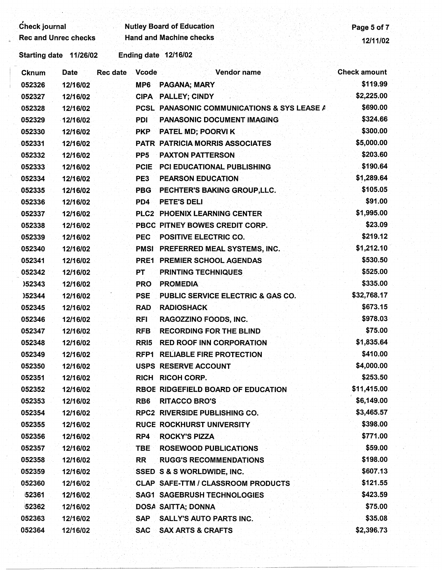| <b>Check journal</b>        |                      | <b>Nutley Board of Education</b> |  |  | Page 5 of 7 |
|-----------------------------|----------------------|----------------------------------|--|--|-------------|
| <b>Rec and Unrec checks</b> |                      | <b>Hand and Machine checks</b>   |  |  | 12/11/02    |
| Starting date 11/26/02      | Ending date 12/16/02 |                                  |  |  |             |

Cknum Date Rec date Vcode Vendor name Check amount

| 052326  | 12/16/02 | MP6             | <b>PAGANA; MARY</b>                         | \$119.99   |
|---------|----------|-----------------|---------------------------------------------|------------|
| 052327  | 12/16/02 |                 | <b>CIPA PALLEY; CINDY</b>                   | \$2,225.00 |
| 052328  | 12/16/02 |                 | PCSL PANASONIC COMMUNICATIONS & SYS LEASE A | \$690.00   |
| 052329  | 12/16/02 | <b>PDI</b>      | PANASONIC DOCUMENT IMAGING                  | \$324.66   |
| 052330  | 12/16/02 | <b>PKP</b>      | PATEL MD; POORVI K                          | \$300.00   |
| 052331  | 12/16/02 |                 | PATR PATRICIA MORRIS ASSOCIATES             | \$5,000.00 |
| 052332  | 12/16/02 | PP <sub>5</sub> | <b>PAXTON PATTERSON</b>                     | \$203.60   |
| 052333  | 12/16/02 | PCIE            | <b>PCI EDUCATIONAL PUBLISHING</b>           | \$190.64   |
| 0.50004 | 1011010  | rro.            | <b>DEADOON EDUCATION</b>                    | 64,990,64  |

| 052330 | 12/16/02 | <b>PKP</b>       | PATEL MD; POORVI K                        | \$300.00    |
|--------|----------|------------------|-------------------------------------------|-------------|
| 052331 | 12/16/02 |                  | PATR PATRICIA MORRIS ASSOCIATES           | \$5,000.00  |
| 052332 | 12/16/02 | PP <sub>5</sub>  | <b>PAXTON PATTERSON</b>                   | \$203.60    |
| 052333 | 12/16/02 | <b>PCIE</b>      | <b>PCI EDUCATIONAL PUBLISHING</b>         | \$190.64    |
| 052334 | 12/16/02 | PE3              | <b>PEARSON EDUCATION</b>                  | \$1,289.64  |
| 052335 | 12/16/02 | <b>PBG</b>       | PECHTER'S BAKING GROUP, LLC.              | \$105.05    |
| 052336 | 12/16/02 | PD <sub>4</sub>  | PETE'S DELI                               | \$91.00     |
| 052337 | 12/16/02 |                  | PLC2 PHOENIX LEARNING CENTER              | \$1,995.00  |
| 052338 | 12/16/02 |                  | PBCC PITNEY BOWES CREDIT CORP.            | \$23.09     |
| 052339 | 12/16/02 | <b>PEC</b>       | <b>POSITIVE ELECTRIC CO.</b>              | \$219.12    |
| 052340 | 12/16/02 |                  | PMSI PREFERRED MEAL SYSTEMS, INC.         | \$1,212.10  |
| 052341 | 12/16/02 |                  | PRE1 PREMIER SCHOOL AGENDAS               | \$530.50    |
| 052342 | 12/16/02 | PT               | <b>PRINTING TECHNIQUES</b>                | \$525.00    |
| )52343 | 12/16/02 | PRO              | <b>PROMEDIA</b>                           | \$335.00    |
| )52344 | 12/16/02 | <b>PSE</b>       | PUBLIC SERVICE ELECTRIC & GAS CO.         | \$32,768.17 |
| 052345 | 12/16/02 | <b>RAD</b>       | <b>RADIOSHACK</b>                         | \$673.15    |
| 052346 | 12/16/02 | <b>RFI</b>       | RAGOZZINO FOODS, INC.                     | \$978.03    |
| 052347 | 12/16/02 | <b>RFB</b>       | <b>RECORDING FOR THE BLIND</b>            | \$75.00     |
| 052348 | 12/16/02 | RRI <sub>5</sub> | <b>RED ROOF INN CORPORATION</b>           | \$1,835.64  |
| 052349 | 12/16/02 |                  | RFP1 RELIABLE FIRE PROTECTION             | \$410.00    |
| 052350 | 12/16/02 |                  | USPS RESERVE ACCOUNT                      | \$4,000.00  |
| 052351 | 12/16/02 |                  | <b>RICH RICOH CORP.</b>                   | \$253.50    |
| 052352 | 12/16/02 |                  | RBOE RIDGEFIELD BOARD OF EDUCATION        | \$11,415.00 |
| 052353 | 12/16/02 | RB <sub>6</sub>  | <b>RITACCO BRO'S</b>                      | \$6,149.00  |
| 052354 | 12/16/02 |                  | RPC2 RIVERSIDE PUBLISHING CO.             | \$3,465.57  |
| 052355 | 12/16/02 |                  | <b>RUCE ROCKHURST UNIVERSITY</b>          | \$398.00    |
| 052356 | 12/16/02 | RP4              | <b>ROCKY'S PIZZA</b>                      | \$771.00    |
| 052357 | 12/16/02 | <b>TBE</b>       | <b>ROSEWOOD PUBLICATIONS</b>              | \$59.00     |
| 052358 | 12/16/02 | <b>RR</b>        | <b>RUGG'S RECOMMENDATIONS</b>             | \$198.00    |
| 052359 | 12/16/02 |                  | SSED S & S WORLDWIDE, INC.                | \$607.13    |
| 052360 | 12/16/02 |                  | <b>CLAP SAFE-TTM / CLASSROOM PRODUCTS</b> | \$121.55    |
| 52361  | 12/16/02 |                  | <b>SAG1 SAGEBRUSH TECHNOLOGIES</b>        | \$423.59    |
| 52362  | 12/16/02 |                  | DOSA SAITTA; DONNA                        | \$75.00     |
| 052363 | 12/16/02 | <b>SAP</b>       | <b>SALLY'S AUTO PARTS INC.</b>            | \$35.08     |
| 052364 | 12/16/02 | <b>SAC</b>       | <b>SAX ARTS &amp; CRAFTS</b>              | \$2,396.73  |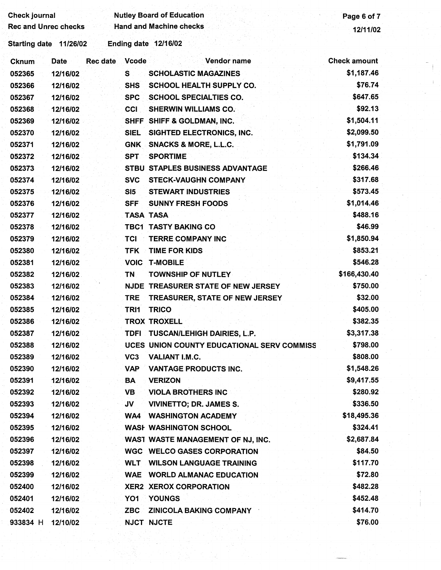| Check journal               |             |                 |                 | <b>Nutley Board of Education</b>           | Page 6 of 7         |
|-----------------------------|-------------|-----------------|-----------------|--------------------------------------------|---------------------|
| <b>Rec and Unrec checks</b> |             |                 |                 | <b>Hand and Machine checks</b>             | 12/11/02            |
| Starting date 11/26/02      |             |                 |                 | <b>Ending date 12/16/02</b>                |                     |
| Cknum                       | <b>Date</b> | <b>Rec</b> date | <b>Vcode</b>    | Vendor name                                | <b>Check amount</b> |
| 052365                      | 12/16/02    |                 | S               | <b>SCHOLASTIC MAGAZINES</b>                | \$1,187.46          |
| 052366                      | 12/16/02    |                 | <b>SHS</b>      | SCHOOL HEALTH SUPPLY CO.                   | \$76.74             |
| 052367                      | 12/16/02    |                 | <b>SPC</b>      | <b>SCHOOL SPECIALTIES CO.</b>              | \$647.65            |
| 052368                      | 12/16/02    |                 | <b>CCI</b>      | <b>SHERWIN WILLIAMS CO.</b>                | \$92.13             |
| 052369                      | 12/16/02    |                 |                 | SHFF SHIFF & GOLDMAN, INC.                 | \$1,504.11          |
| 052370                      | 12/16/02    |                 | <b>SIEL</b>     | SIGHTED ELECTRONICS, INC.                  | \$2,099.50          |
| 052371                      | 12/16/02    |                 | <b>GNK</b>      | <b>SNACKS &amp; MORE, L.L.C.</b>           | \$1,791.09          |
| 052372                      | 12/16/02    |                 | <b>SPT</b>      | <b>SPORTIME</b>                            | \$134.34            |
| 052373                      | 12/16/02    |                 |                 | STBU STAPLES BUSINESS ADVANTAGE            | \$266.46            |
| 052374                      | 12/16/02    |                 | <b>SVC</b>      | <b>STECK-VAUGHN COMPANY</b>                | \$317.68            |
| 052375                      | 12/16/02    |                 | SI5             | <b>STEWART INDUSTRIES</b>                  | \$573.45            |
| 052376                      | 12/16/02    |                 | <b>SFF</b>      | <b>SUNNY FRESH FOODS</b>                   | \$1,014.46          |
| 052377                      | 12/16/02    |                 |                 | TASA TASA                                  | \$488.16            |
| 052378                      | 12/16/02    |                 |                 | <b>TBC1 TASTY BAKING CO</b>                | \$46.99             |
| 052379                      | 12/16/02    |                 | TCI             | <b>TERRE COMPANY INC</b>                   | \$1,850.94          |
| 052380                      | 12/16/02    |                 | <b>TFK</b>      | <b>TIME FOR KIDS</b>                       | \$853.21            |
| 052381                      | 12/16/02    |                 | <b>VOIC</b>     | <b>T-MOBILE</b>                            | \$546.28            |
| 052382                      | 12/16/02    |                 | <b>TN</b>       | <b>TOWNSHIP OF NUTLEY</b>                  | \$166,430.40        |
| 052383                      | 12/16/02    |                 |                 | NJDE TREASURER STATE OF NEW JERSEY         | \$750.00            |
| 052384                      | 12/16/02    |                 | <b>TRE</b>      | TREASURER, STATE OF NEW JERSEY             | \$32.00             |
| 052385                      | 12/16/02    |                 | TRI1            | <b>TRICO</b>                               | \$405.00            |
| 052386                      | 12/16/02    |                 |                 | <b>TROX TROXELL</b>                        | \$382.35            |
| 052387                      | 12/16/02    |                 |                 | TDFI TUSCAN/LEHIGH DAIRIES, L.P.           | \$3,317.38          |
| 052388                      | 12/16/02    |                 |                 | UCES UNION COUNTY EDUCATIONAL SERV COMMISS | \$798.00            |
| 052389                      | 12/16/02    |                 | VC <sub>3</sub> | VALIANT I.M.C.                             | \$808.00            |
| 052390                      | 12/16/02    |                 | VAP             | <b>VANTAGE PRODUCTS INC.</b>               | \$1,548.26          |
| 052391                      | 12/16/02    |                 | BА              | <b>VERIZON</b>                             | \$9,417.55          |
| 052392                      | 12/16/02    |                 | VB              | <b>VIOLA BROTHERS INC</b>                  | \$280.92            |
| 052393                      | 12/16/02    |                 | JV              | <b>VIVINETTO; DR. JAMES S.</b>             | \$336.50            |
| 052394                      | 12/16/02    |                 | WA4             | <b>WASHINGTON ACADEMY</b>                  | \$18,495.36         |
| 052395                      | 12/16/02    |                 |                 | <b>WASH WASHINGTON SCHOOL</b>              | \$324.41            |
| 052396                      | 12/16/02    |                 |                 | WAST WASTE MANAGEMENT OF NJ, INC.          | \$2,687.84          |
| 052397                      | 12/16/02    |                 |                 | <b>WGC WELCO GASES CORPORATION</b>         | \$84.50             |
| 052398                      | 12/16/02    |                 | <b>WLT</b>      | <b>WILSON LANGUAGE TRAINING</b>            | \$117.70            |
| 052399                      | 12/16/02    |                 | <b>WAE</b>      | <b>WORLD ALMANAC EDUCATION</b>             | \$72.80             |
| 052400                      | 12/16/02    |                 |                 | <b>XER2 XEROX CORPORATION</b>              | \$482.28            |
| 052401                      | 12/16/02    |                 | YO1             | YOUNGS                                     | \$452.48            |
| 052402                      | 12/16/02    |                 | <b>ZBC</b>      | <b>ZINICOLA BAKING COMPANY</b>             | \$414.70            |
| 933834 H                    | 12/10/02    |                 |                 | NJCT NJCTE                                 | \$76.00             |